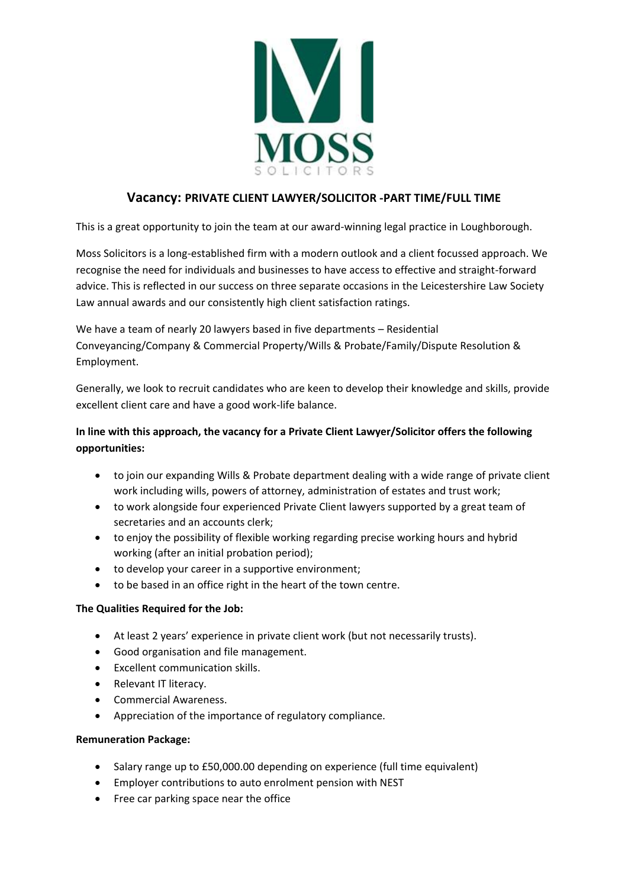

# **Vacancy: PRIVATE CLIENT LAWYER/SOLICITOR -PART TIME/FULL TIME**

This is a great opportunity to join the team at our award-winning legal practice in Loughborough.

Moss Solicitors is a long-established firm with a modern outlook and a client focussed approach. We recognise the need for individuals and businesses to have access to effective and straight-forward advice. This is reflected in our success on three separate occasions in the Leicestershire Law Society Law annual awards and our consistently high client satisfaction ratings.

We have a team of nearly 20 lawyers based in five departments – Residential Conveyancing/Company & Commercial Property/Wills & Probate/Family/Dispute Resolution & Employment.

Generally, we look to recruit candidates who are keen to develop their knowledge and skills, provide excellent client care and have a good work-life balance.

## **In line with this approach, the vacancy for a Private Client Lawyer/Solicitor offers the following opportunities:**

- to join our expanding Wills & Probate department dealing with a wide range of private client work including wills, powers of attorney, administration of estates and trust work;
- to work alongside four experienced Private Client lawyers supported by a great team of secretaries and an accounts clerk;
- to enjoy the possibility of flexible working regarding precise working hours and hybrid working (after an initial probation period);
- to develop your career in a supportive environment;
- to be based in an office right in the heart of the town centre.

### **The Qualities Required for the Job:**

- At least 2 years' experience in private client work (but not necessarily trusts).
- Good organisation and file management.
- Excellent communication skills.
- Relevant IT literacy.
- Commercial Awareness.
- Appreciation of the importance of regulatory compliance.

### **Remuneration Package:**

- Salary range up to £50,000.00 depending on experience (full time equivalent)
- Employer contributions to auto enrolment pension with NEST
- Free car parking space near the office